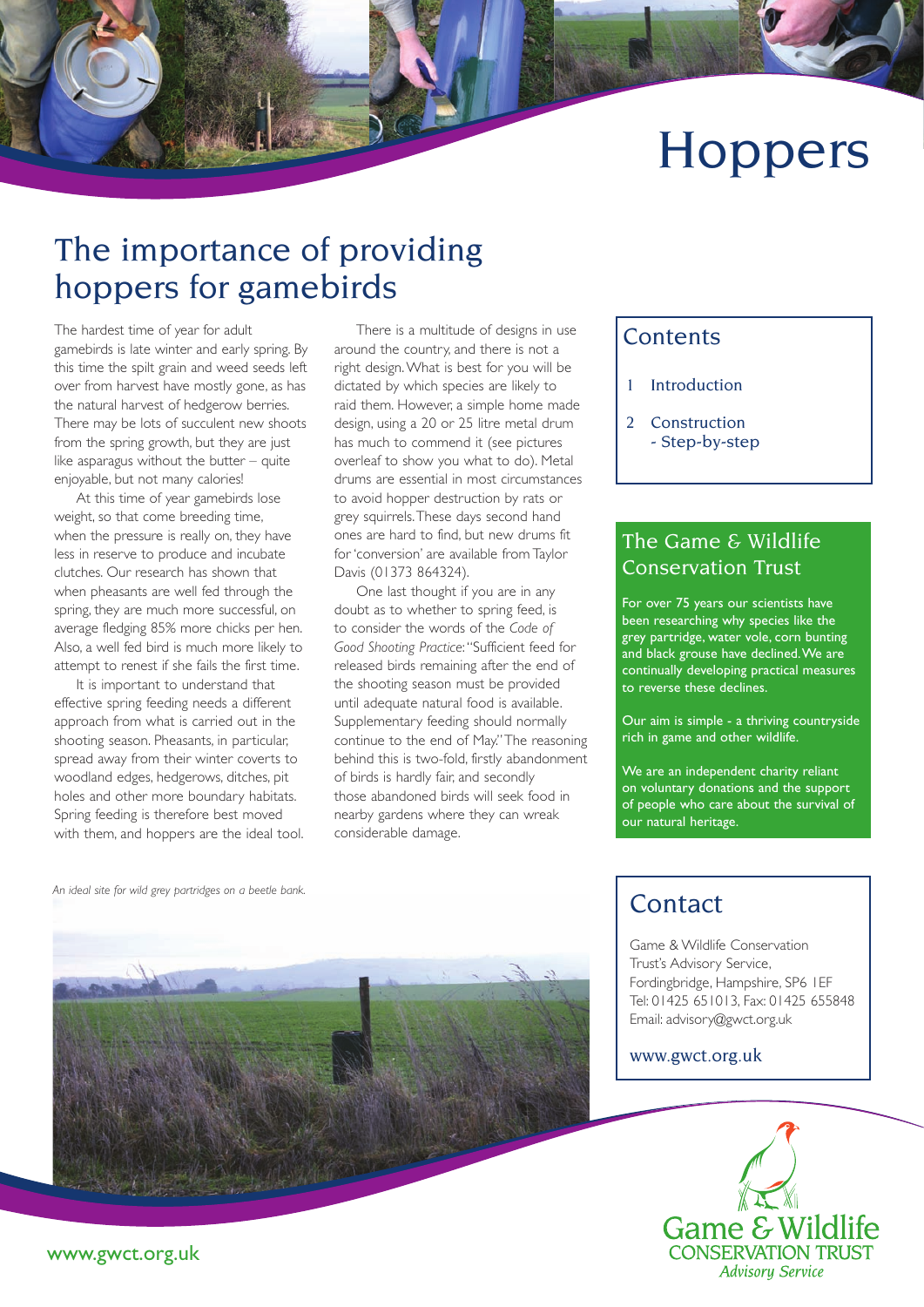# **Hoppers**

# The importance of providing hoppers for gamebirds

The hardest time of year for adult gamebirds is late winter and early spring. By this time the spilt grain and weed seeds left over from harvest have mostly gone, as has the natural harvest of hedgerow berries. There may be lots of succulent new shoots from the spring growth, but they are just like asparagus without the butter – quite enjoyable, but not many calories!

At this time of year gamebirds lose weight, so that come breeding time, when the pressure is really on, they have less in reserve to produce and incubate clutches. Our research has shown that when pheasants are well fed through the spring, they are much more successful, on average fledging 85% more chicks per hen. Also, a well fed bird is much more likely to attempt to renest if she fails the first time.

It is important to understand that effective spring feeding needs a different approach from what is carried out in the shooting season. Pheasants, in particular, spread away from their winter coverts to woodland edges, hedgerows, ditches, pit holes and other more boundary habitats. Spring feeding is therefore best moved with them, and hoppers are the ideal tool.

There is a multitude of designs in use around the country, and there is not a right design. What is best for you will be dictated by which species are likely to raid them. However, a simple home made design, using a 20 or 25 litre metal drum has much to commend it (see pictures overleaf to show you what to do). Metal drums are essential in most circumstances to avoid hopper destruction by rats or grey squirrels. These days second hand ones are hard to find, but new drums fit for 'conversion' are available from Taylor Davis (01373 864324).

One last thought if you are in any doubt as to whether to spring feed, is to consider the words of the *Code of Good Shooting Practice*: "Sufficient feed for released birds remaining after the end of the shooting season must be provided until adequate natural food is available. Supplementary feeding should normally continue to the end of May." The reasoning behind this is two-fold, firstly abandonment of birds is hardly fair, and secondly those abandoned birds will seek food in nearby gardens where they can wreak considerable damage.

#### **Contents**

- 1 Introduction
- 2 Construction
	- Step-by-step

#### The Game & Wildlife Conservation Trust

For over 75 years our scientists have been researching why species like the grey partridge, water vole, corn bunting and black grouse have declined. We are continually developing practical measures to reverse these declines.

Our aim is simple - a thriving countryside rich in game and other wildlife.

We are an independent charity reliant on voluntary donations and the support of people who care about the survival of our natural heritage.

*An ideal site for wild grey partridges on a beetle bank.*



### **Contact**

Game & Wildlife Conservation Trust's Advisory Service, Fordingbridge, Hampshire, SP6 1EF Tel: 01425 651013, Fax: 01425 655848 Email: advisory@gwct.org.uk

www.gwct.org.uk



www.gwct.org.uk